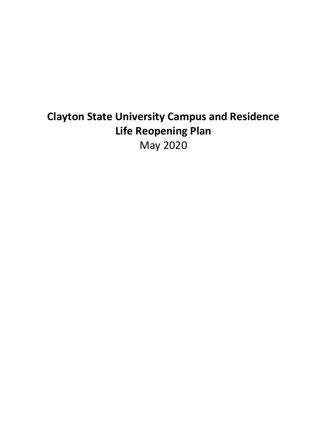# **Clayton State University Campus and Residence Life Reopening Plan** May 2020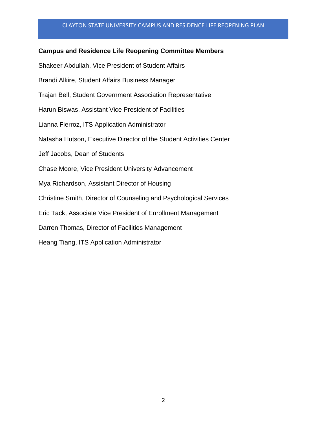## **Campus and Residence Life Reopening Committee Members**

Shakeer Abdullah, Vice President of Student Affairs Brandi Alkire, Student Affairs Business Manager Trajan Bell, Student Government Association Representative Harun Biswas, Assistant Vice President of Facilities Lianna Fierroz, ITS Application Administrator Natasha Hutson, Executive Director of the Student Activities Center Jeff Jacobs, Dean of Students Chase Moore, Vice President University Advancement Mya Richardson, Assistant Director of Housing Christine Smith, Director of Counseling and Psychological Services Eric Tack, Associate Vice President of Enrollment Management Darren Thomas, Director of Facilities Management Heang Tiang, ITS Application Administrator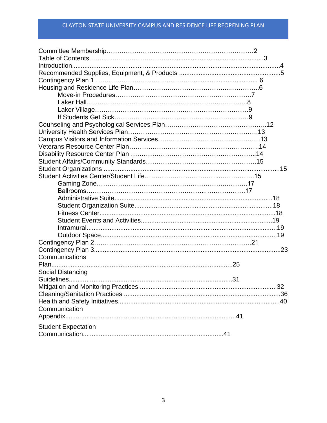| Communications             |  |
|----------------------------|--|
|                            |  |
| Social Distancing          |  |
|                            |  |
|                            |  |
|                            |  |
|                            |  |
| Communication              |  |
|                            |  |
| <b>Student Expectation</b> |  |
|                            |  |
|                            |  |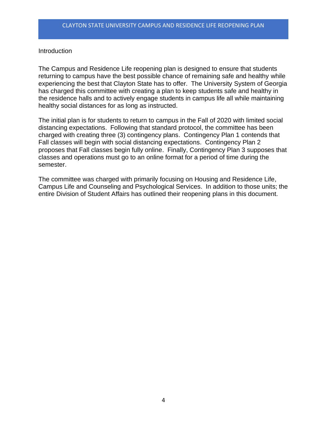## **Introduction**

The Campus and Residence Life reopening plan is designed to ensure that students returning to campus have the best possible chance of remaining safe and healthy while experiencing the best that Clayton State has to offer. The University System of Georgia has charged this committee with creating a plan to keep students safe and healthy in the residence halls and to actively engage students in campus life all while maintaining healthy social distances for as long as instructed.

The initial plan is for students to return to campus in the Fall of 2020 with limited social distancing expectations. Following that standard protocol, the committee has been charged with creating three (3) contingency plans. Contingency Plan 1 contends that Fall classes will begin with social distancing expectations. Contingency Plan 2 proposes that Fall classes begin fully online. Finally, Contingency Plan 3 supposes that classes and operations must go to an online format for a period of time during the semester.

The committee was charged with primarily focusing on Housing and Residence Life, Campus Life and Counseling and Psychological Services. In addition to those units; the entire Division of Student Affairs has outlined their reopening plans in this document.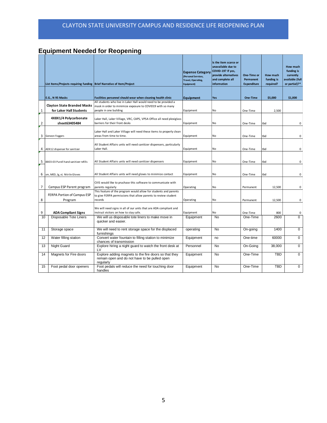# **Equipment Needed for Reopening**

|                | List Items/Projects requiring funding   Brief Narrative of Item/Project |                                                                                                                                                         | <b>Expense Category</b><br>(Personal Services,<br>Travel, Operating,<br>Equipment) | Is the item scarce or<br>unavailable due to<br>COVID-19? If yes,<br>provide alternatives<br>and complete all<br>information | One-Time or<br>Permanent<br><b>Expenditure</b> | How much<br>funding is<br>required? | How much<br>funding is<br>currently<br>available (full<br>or partial)?* |
|----------------|-------------------------------------------------------------------------|---------------------------------------------------------------------------------------------------------------------------------------------------------|------------------------------------------------------------------------------------|-----------------------------------------------------------------------------------------------------------------------------|------------------------------------------------|-------------------------------------|-------------------------------------------------------------------------|
|                | E.G., N 95 Masks                                                        | Facilities personnel should wear when cleaning health clinic                                                                                            | Equipment                                                                          | Yes                                                                                                                         | One-Time                                       | \$5,000                             | \$1,000                                                                 |
| $\mathbf{1}$   | <b>Clayton State Branded Masks</b><br>for Laker Hall Students           | All students who live in Laker Hall would need to be provided a<br>mask in order to minimize exposure to COVID19 with so many<br>people in one building | Equipment                                                                          | <b>No</b>                                                                                                                   | One-Time                                       | 2,500                               |                                                                         |
| $\overline{2}$ | 4X8X1/4 Polycarbonate<br>sheet63405484                                  | Laker Hall, Laker Village, VRC, CAPS, VPSA Office all need plexiglass<br>barriers for their front desks                                                 | Equipment                                                                          | <b>No</b>                                                                                                                   | One-Time                                       | tbd                                 | 0                                                                       |
| 3              | Geneon Foggers                                                          | Laker Hall and Laker Village will need these items to properly clean<br>areas from time to time.                                                        | Equipment                                                                          | <b>No</b>                                                                                                                   | One-Time                                       | tbd                                 | 0                                                                       |
| 4              | ADX12 dispenser for sanitizer                                           | All Student Affairs units will need sanitizer dispensers, particularly<br>Laker Hall.                                                                   | Equipment                                                                          | No                                                                                                                          | One-Time                                       | tbd                                 | $\mathbf 0$                                                             |
| 5              | 8803-03 Purell hand sanitizer refills                                   | All Student Affairs units will need sanitizer dispensers                                                                                                | Equipment                                                                          | No                                                                                                                          | One-Time                                       | tbd                                 | 0                                                                       |
| 6              | sm, MED, Ig, xL Nitrile Gloves                                          | All Student Affairs units will need gloves to minimize contact                                                                                          | Equipment                                                                          | No                                                                                                                          | One-Time                                       | tbd                                 | $\mathsf 0$                                                             |
| $\overline{7}$ | Campus ESP Parent program                                               | CVIS would like to pruchase this software to communicate with<br>parents regularly                                                                      | Operating                                                                          | No                                                                                                                          | Permanent                                      | 12,500                              | $\mathsf{O}\xspace$                                                     |
| 8              | FERPA Portion of Campus ESP<br>Program                                  | This feature of the program would allow for students and parents<br>to give FERPA permissions that allow parents to review student<br>records           | Operating                                                                          | <b>No</b>                                                                                                                   | Permanent                                      | 12,500                              | $\mathbf 0$                                                             |
| 9              | <b>ADA Compliant Signs</b>                                              | We will need signs in all of our units that are ADA compliant and<br>instruct visitors on how to stay safe.                                             | Equipment                                                                          | <b>No</b>                                                                                                                   | One-Time                                       | 800                                 | 0                                                                       |
| 10             | Disposable Tote Liners                                                  | We will us disposable tote liners to make move in<br>quicker and easier.                                                                                | Equipment                                                                          | <b>No</b>                                                                                                                   | One-Time                                       | 2600                                | 0                                                                       |
| 11             | Storage space                                                           | We will need to rent storage space for the displaced<br>furnishings                                                                                     | operating                                                                          | No                                                                                                                          | On-going                                       | 1400                                | $\mathbf 0$                                                             |
| 12             | Water filling station                                                   | Convert water fountain to filling station to minimize<br>chances of transmission                                                                        | Equipment                                                                          | no                                                                                                                          | One-time                                       | 60000                               | 0                                                                       |
| 13             | Night Guard                                                             | Explore hiring a night guard to watch the front desk at<br>LV                                                                                           | Personnel                                                                          | No                                                                                                                          | On-Going                                       | 38,000                              | $\Omega$                                                                |
| 14             | Magnets for Fire doors                                                  | Explore adding magnets to the fire doors so that they<br>remain open and do not have to be pulled open<br>regularly                                     | Equipment                                                                          | No                                                                                                                          | One-Time                                       | <b>TBD</b>                          | $\mathbf 0$                                                             |
| 15             | Foot pedal door openers                                                 | Foot pedals will reduce the need for touching door<br>handles                                                                                           | Equipment                                                                          | <b>No</b>                                                                                                                   | One-Time                                       | TBD                                 | $\Omega$                                                                |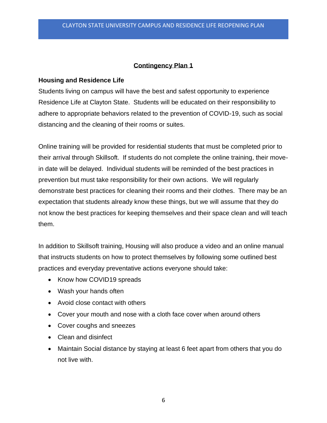## **Contingency Plan 1**

## **Housing and Residence Life**

Students living on campus will have the best and safest opportunity to experience Residence Life at Clayton State. Students will be educated on their responsibility to adhere to appropriate behaviors related to the prevention of COVID-19, such as social distancing and the cleaning of their rooms or suites.

Online training will be provided for residential students that must be completed prior to their arrival through Skillsoft. If students do not complete the online training, their movein date will be delayed. Individual students will be reminded of the best practices in prevention but must take responsibility for their own actions. We will regularly demonstrate best practices for cleaning their rooms and their clothes. There may be an expectation that students already know these things, but we will assume that they do not know the best practices for keeping themselves and their space clean and will teach them.

In addition to Skillsoft training, Housing will also produce a video and an online manual that instructs students on how to protect themselves by following some outlined best practices and everyday preventative actions everyone should take:

- Know how COVID19 spreads
- Wash your hands often
- Avoid close contact with others
- Cover your mouth and nose with a cloth face cover when around others
- Cover coughs and sneezes
- Clean and disinfect
- Maintain Social distance by staying at least 6 feet apart from others that you do not live with.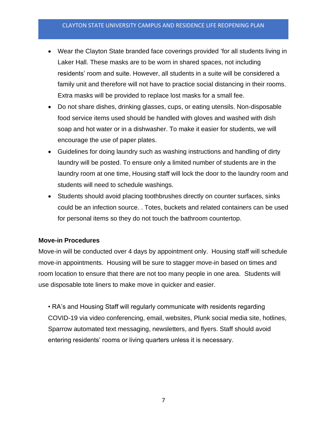- Wear the Clayton State branded face coverings provided 'for all students living in Laker Hall. These masks are to be worn in shared spaces, not including residents' room and suite. However, all students in a suite will be considered a family unit and therefore will not have to practice social distancing in their rooms. Extra masks will be provided to replace lost masks for a small fee.
- Do not share dishes, drinking glasses, cups, or eating utensils. Non-disposable food service items used should be handled with gloves and washed with dish soap and hot water or in a dishwasher. To make it easier for students, we will encourage the use of paper plates.
- Guidelines for doing laundry such as washing instructions and handling of dirty laundry will be posted. To ensure only a limited number of students are in the laundry room at one time, Housing staff will lock the door to the laundry room and students will need to schedule washings.
- Students should avoid placing toothbrushes directly on counter surfaces, sinks could be an infection source. . Totes, buckets and related containers can be used for personal items so they do not touch the bathroom countertop.

## **Move-in Procedures**

Move-in will be conducted over 4 days by appointment only. Housing staff will schedule move-in appointments. Housing will be sure to stagger move-in based on times and room location to ensure that there are not too many people in one area. Students will use disposable tote liners to make move in quicker and easier.

• RA's and Housing Staff will regularly communicate with residents regarding COVID-19 via video conferencing, email, websites, Plunk social media site, hotlines, Sparrow automated text messaging, newsletters, and flyers. Staff should avoid entering residents' rooms or living quarters unless it is necessary.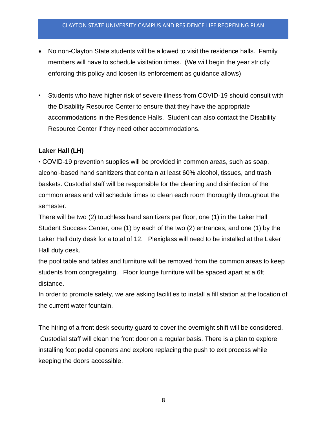- No non-Clayton State students will be allowed to visit the residence halls. Family members will have to schedule visitation times. (We will begin the year strictly enforcing this policy and loosen its enforcement as guidance allows)
- Students who have higher risk of severe illness from COVID-19 should consult with the Disability Resource Center to ensure that they have the appropriate accommodations in the Residence Halls. Student can also contact the Disability Resource Center if they need other accommodations.

## **Laker Hall (LH)**

• COVID-19 prevention supplies will be provided in common areas, such as soap, alcohol-based hand sanitizers that contain at least 60% alcohol, tissues, and trash baskets. Custodial staff will be responsible for the cleaning and disinfection of the common areas and will schedule times to clean each room thoroughly throughout the semester.

There will be two (2) touchless hand sanitizers per floor, one (1) in the Laker Hall Student Success Center, one (1) by each of the two (2) entrances, and one (1) by the Laker Hall duty desk for a total of 12. Plexiglass will need to be installed at the Laker Hall duty desk.

the pool table and tables and furniture will be removed from the common areas to keep students from congregating. Floor lounge furniture will be spaced apart at a 6ft distance.

In order to promote safety, we are asking facilities to install a fill station at the location of the current water fountain.

The hiring of a front desk security guard to cover the overnight shift will be considered. Custodial staff will clean the front door on a regular basis. There is a plan to explore installing foot pedal openers and explore replacing the push to exit process while keeping the doors accessible.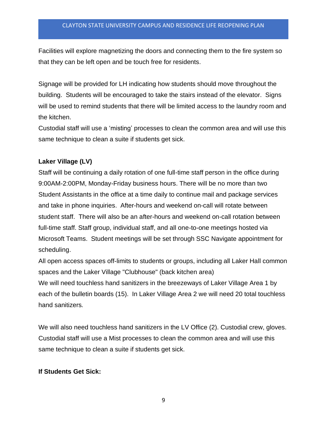Facilities will explore magnetizing the doors and connecting them to the fire system so that they can be left open and be touch free for residents.

Signage will be provided for LH indicating how students should move throughout the building. Students will be encouraged to take the stairs instead of the elevator. Signs will be used to remind students that there will be limited access to the laundry room and the kitchen.

Custodial staff will use a 'misting' processes to clean the common area and will use this same technique to clean a suite if students get sick.

## **Laker Village (LV)**

Staff will be continuing a daily rotation of one full-time staff person in the office during 9:00AM-2:00PM, Monday-Friday business hours. There will be no more than two Student Assistants in the office at a time daily to continue mail and package services and take in phone inquiries. After-hours and weekend on-call will rotate between student staff. There will also be an after-hours and weekend on-call rotation between full-time staff. Staff group, individual staff, and all one-to-one meetings hosted via Microsoft Teams. Student meetings will be set through SSC Navigate appointment for scheduling.

All open access spaces off-limits to students or groups, including all Laker Hall common spaces and the Laker Village "Clubhouse" (back kitchen area)

We will need touchless hand sanitizers in the breezeways of Laker Village Area 1 by each of the bulletin boards (15). In Laker Village Area 2 we will need 20 total touchless hand sanitizers*.* 

We will also need touchless hand sanitizers in the LV Office (2). Custodial crew, gloves. Custodial staff will use a Mist processes to clean the common area and will use this same technique to clean a suite if students get sick.

## **If Students Get Sick:**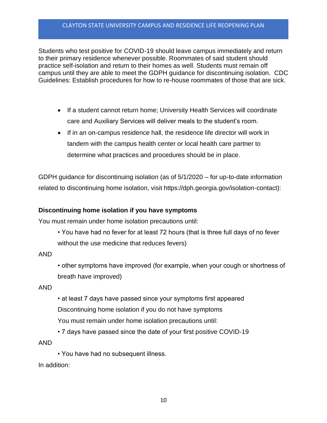Students who test positive for COVID-19 should leave campus immediately and return to their primary residence whenever possible. Roommates of said student should practice self-isolation and return to their homes as well. Students must remain off campus until they are able to meet the GDPH guidance for discontinuing isolation. CDC Guidelines: Establish procedures for how to re-house roommates of those that are sick.

- If a student cannot return home; University Health Services will coordinate care and Auxiliary Services will deliver meals to the student's room.
- If in an on-campus residence hall, the residence life director will work in tandem with the campus health center or local health care partner to determine what practices and procedures should be in place.

GDPH guidance for discontinuing isolation (as of 5/1/2020 – for up-to-date information related to discontinuing home isolation, visit https://dph.georgia.gov/isolation-contact):

## **Discontinuing home isolation if you have symptoms**

You must remain under home isolation precautions until:

• You have had no fever for at least 72 hours (that is three full days of no fever without the use medicine that reduces fevers)

## AND

• other symptoms have improved (for example, when your cough or shortness of breath have improved)

#### AND

- at least 7 days have passed since your symptoms first appeared Discontinuing home isolation if you do not have symptoms You must remain under home isolation precautions until:
- 7 days have passed since the date of your first positive COVID-19

AND

• You have had no subsequent illness.

In addition: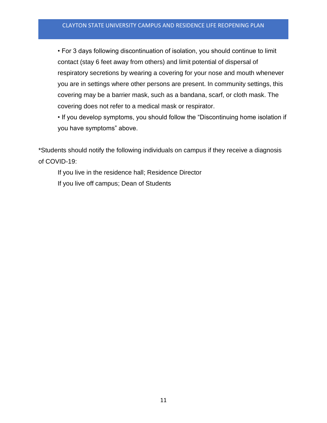• For 3 days following discontinuation of isolation, you should continue to limit contact (stay 6 feet away from others) and limit potential of dispersal of respiratory secretions by wearing a covering for your nose and mouth whenever you are in settings where other persons are present. In community settings, this covering may be a barrier mask, such as a bandana, scarf, or cloth mask. The covering does not refer to a medical mask or respirator.

• If you develop symptoms, you should follow the "Discontinuing home isolation if you have symptoms" above.

\*Students should notify the following individuals on campus if they receive a diagnosis of COVID-19:

If you live in the residence hall; Residence Director If you live off campus; Dean of Students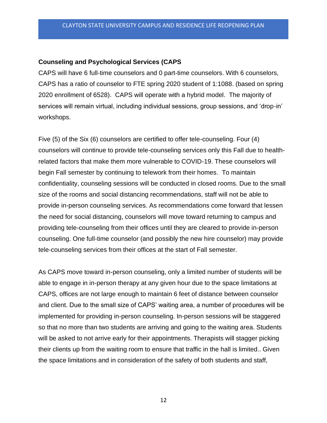## **Counseling and Psychological Services (CAPS**

CAPS will have 6 full-time counselors and 0 part-time counselors. With 6 counselors, CAPS has a ratio of counselor to FTE spring 2020 student of 1:1088. (based on spring 2020 enrollment of 6528). CAPS will operate with a hybrid model. The majority of services will remain virtual, including individual sessions, group sessions, and 'drop-in' workshops.

Five (5) of the Six (6) counselors are certified to offer tele-counseling. Four (4) counselors will continue to provide tele-counseling services only this Fall due to healthrelated factors that make them more vulnerable to COVID-19. These counselors will begin Fall semester by continuing to telework from their homes. To maintain confidentiality, counseling sessions will be conducted in closed rooms. Due to the small size of the rooms and social distancing recommendations, staff will not be able to provide in-person counseling services. As recommendations come forward that lessen the need for social distancing, counselors will move toward returning to campus and providing tele-counseling from their offices until they are cleared to provide in-person counseling. One full-time counselor (and possibly the new hire counselor) may provide tele-counseling services from their offices at the start of Fall semester.

As CAPS move toward in-person counseling, only a limited number of students will be able to engage in in-person therapy at any given hour due to the space limitations at CAPS, offices are not large enough to maintain 6 feet of distance between counselor and client. Due to the small size of CAPS' waiting area, a number of procedures will be implemented for providing in-person counseling. In-person sessions will be staggered so that no more than two students are arriving and going to the waiting area. Students will be asked to not arrive early for their appointments. Therapists will stagger picking their clients up from the waiting room to ensure that traffic in the hall is limited.. Given the space limitations and in consideration of the safety of both students and staff,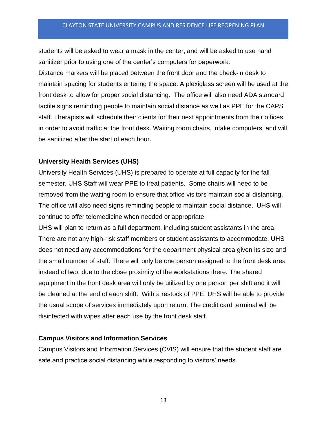students will be asked to wear a mask in the center, and will be asked to use hand sanitizer prior to using one of the center's computers for paperwork.

Distance markers will be placed between the front door and the check-in desk to maintain spacing for students entering the space. A plexiglass screen will be used at the front desk to allow for proper social distancing. The office will also need ADA standard tactile signs reminding people to maintain social distance as well as PPE for the CAPS staff. Therapists will schedule their clients for their next appointments from their offices in order to avoid traffic at the front desk. Waiting room chairs, intake computers, and will be sanitized after the start of each hour.

## **University Health Services (UHS)**

University Health Services (UHS) is prepared to operate at full capacity for the fall semester. UHS Staff will wear PPE to treat patients. Some chairs will need to be removed from the waiting room to ensure that office visitors maintain social distancing. The office will also need signs reminding people to maintain social distance. UHS will continue to offer telemedicine when needed or appropriate.

UHS will plan to return as a full department, including student assistants in the area. There are not any high-risk staff members or student assistants to accommodate. UHS does not need any accommodations for the department physical area given its size and the small number of staff. There will only be one person assigned to the front desk area instead of two, due to the close proximity of the workstations there. The shared equipment in the front desk area will only be utilized by one person per shift and it will be cleaned at the end of each shift. With a restock of PPE, UHS will be able to provide the usual scope of services immediately upon return. The credit card terminal will be disinfected with wipes after each use by the front desk staff.

## **Campus Visitors and Information Services**

Campus Visitors and Information Services (CVIS) will ensure that the student staff are safe and practice social distancing while responding to visitors' needs.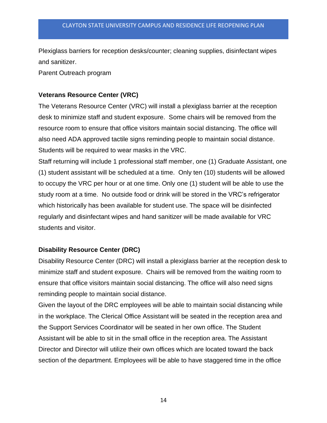Plexiglass barriers for reception desks/counter; cleaning supplies, disinfectant wipes and sanitizer.

Parent Outreach program

## **Veterans Resource Center (VRC)**

The Veterans Resource Center (VRC) will install a plexiglass barrier at the reception desk to minimize staff and student exposure. Some chairs will be removed from the resource room to ensure that office visitors maintain social distancing. The office will also need ADA approved tactile signs reminding people to maintain social distance. Students will be required to wear masks in the VRC.

Staff returning will include 1 professional staff member, one (1) Graduate Assistant, one (1) student assistant will be scheduled at a time. Only ten (10) students will be allowed to occupy the VRC per hour or at one time. Only one (1) student will be able to use the study room at a time. No outside food or drink will be stored in the VRC's refrigerator which historically has been available for student use. The space will be disinfected regularly and disinfectant wipes and hand sanitizer will be made available for VRC students and visitor.

## **Disability Resource Center (DRC)**

Disability Resource Center (DRC) will install a plexiglass barrier at the reception desk to minimize staff and student exposure. Chairs will be removed from the waiting room to ensure that office visitors maintain social distancing. The office will also need signs reminding people to maintain social distance.

Given the layout of the DRC employees will be able to maintain social distancing while in the workplace. The Clerical Office Assistant will be seated in the reception area and the Support Services Coordinator will be seated in her own office. The Student Assistant will be able to sit in the small office in the reception area. The Assistant Director and Director will utilize their own offices which are located toward the back section of the department. Employees will be able to have staggered time in the office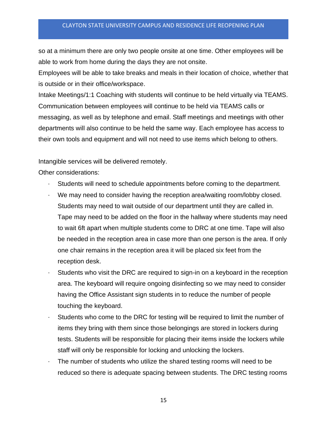so at a minimum there are only two people onsite at one time. Other employees will be able to work from home during the days they are not onsite.

Employees will be able to take breaks and meals in their location of choice, whether that is outside or in their office/workspace.

Intake Meetings/1:1 Coaching with students will continue to be held virtually via TEAMS. Communication between employees will continue to be held via TEAMS calls or messaging, as well as by telephone and email. Staff meetings and meetings with other departments will also continue to be held the same way. Each employee has access to their own tools and equipment and will not need to use items which belong to others.

Intangible services will be delivered remotely.

Other considerations:

- Students will need to schedule appointments before coming to the department.
- We may need to consider having the reception area/waiting room/lobby closed. Students may need to wait outside of our department until they are called in. Tape may need to be added on the floor in the hallway where students may need to wait 6ft apart when multiple students come to DRC at one time. Tape will also be needed in the reception area in case more than one person is the area. If only one chair remains in the reception area it will be placed six feet from the reception desk.
- Students who visit the DRC are required to sign-in on a keyboard in the reception area. The keyboard will require ongoing disinfecting so we may need to consider having the Office Assistant sign students in to reduce the number of people touching the keyboard.
- Students who come to the DRC for testing will be required to limit the number of items they bring with them since those belongings are stored in lockers during tests. Students will be responsible for placing their items inside the lockers while staff will only be responsible for locking and unlocking the lockers.
- The number of students who utilize the shared testing rooms will need to be reduced so there is adequate spacing between students. The DRC testing rooms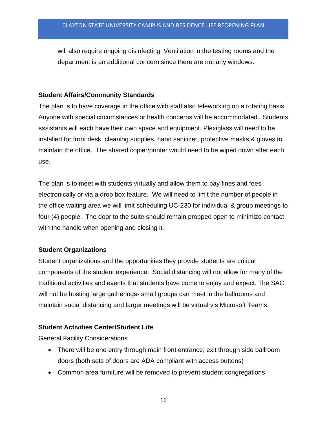will also require ongoing disinfecting. Ventilation in the testing rooms and the department is an additional concern since there are not any windows.

#### **Student Affairs/Community Standards**

The plan is to have coverage in the office with staff also teleworking on a rotating basis. Anyone with special circumstances or health concerns will be accommodated. Students assistants will each have their own space and equipment. Plexiglass will need to be installed for front desk, cleaning supplies, hand sanitizer, protective masks & gloves to maintain the office. The shared copier/printer would need to be wiped down after each use.

The plan is to meet with students virtually and allow them to pay fines and fees electronically or via a drop box feature. We will need to limit the number of people in the office waiting area we will limit scheduling UC-230 for individual & group meetings to four (4) people. The door to the suite should remain propped open to minimize contact with the handle when opening and closing it.

## **Student Organizations**

Student organizations and the opportunities they provide students are critical components of the student experience. Social distancing will not allow for many of the traditional activities and events that students have come to enjoy and expect. The SAC will not be hosting large gatherings- small groups can meet in the ballrooms and maintain social distancing and larger meetings will be virtual vis Microsoft Teams.

## **Student Activities Center/Student Life**

General Facility Considerations

- There will be one entry through main front entrance; exit through side ballroom doors (both sets of doors are ADA compliant with access buttons)
- Common area furniture will be removed to prevent student congregations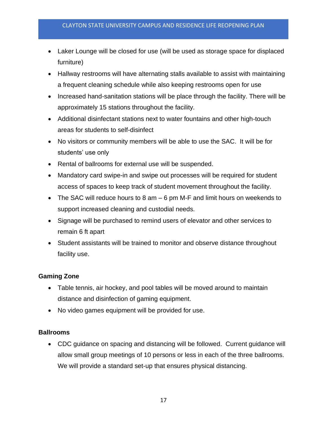- Laker Lounge will be closed for use (will be used as storage space for displaced furniture)
- Hallway restrooms will have alternating stalls available to assist with maintaining a frequent cleaning schedule while also keeping restrooms open for use
- Increased hand-sanitation stations will be place through the facility. There will be approximately 15 stations throughout the facility.
- Additional disinfectant stations next to water fountains and other high-touch areas for students to self-disinfect
- No visitors or community members will be able to use the SAC. It will be for students' use only
- Rental of ballrooms for external use will be suspended.
- Mandatory card swipe-in and swipe out processes will be required for student access of spaces to keep track of student movement throughout the facility.
- The SAC will reduce hours to 8 am 6 pm M-F and limit hours on weekends to support increased cleaning and custodial needs.
- Signage will be purchased to remind users of elevator and other services to remain 6 ft apart
- Student assistants will be trained to monitor and observe distance throughout facility use.

## **Gaming Zone**

- Table tennis, air hockey, and pool tables will be moved around to maintain distance and disinfection of gaming equipment.
- No video games equipment will be provided for use.

## **Ballrooms**

• CDC guidance on spacing and distancing will be followed. Current guidance will allow small group meetings of 10 persons or less in each of the three ballrooms. We will provide a standard set-up that ensures physical distancing.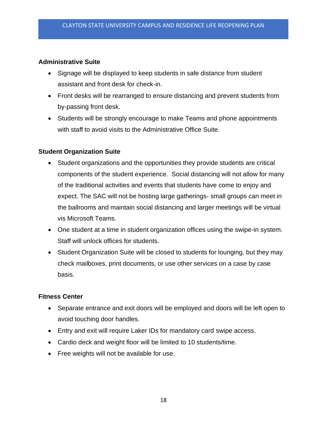## **Administrative Suite**

- Signage will be displayed to keep students in safe distance from student assistant and front desk for check-in.
- Front desks will be rearranged to ensure distancing and prevent students from by-passing front desk.
- Students will be strongly encourage to make Teams and phone appointments with staff to avoid visits to the Administrative Office Suite.

## **Student Organization Suite**

- Student organizations and the opportunities they provide students are critical components of the student experience. Social distancing will not allow for many of the traditional activities and events that students have come to enjoy and expect. The SAC will not be hosting large gatherings- small groups can meet in the ballrooms and maintain social distancing and larger meetings will be virtual vis Microsoft Teams.
- One student at a time in student organization offices using the swipe-in system. Staff will unlock offices for students.
- Student Organization Suite will be closed to students for lounging, but they may check mailboxes, print documents, or use other services on a case by case basis.

## **Fitness Center**

- Separate entrance and exit doors will be employed and doors will be left open to avoid touching door handles.
- Entry and exit will require Laker IDs for mandatory card swipe access.
- Cardio deck and weight floor will be limited to 10 students/time.
- Free weights will not be available for use.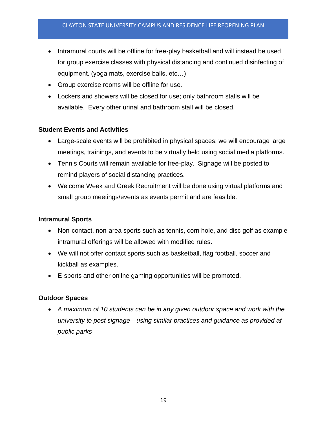- Intramural courts will be offline for free-play basketball and will instead be used for group exercise classes with physical distancing and continued disinfecting of equipment. (yoga mats, exercise balls, etc…)
- Group exercise rooms will be offline for use*.*
- Lockers and showers will be closed for use; only bathroom stalls will be available. Every other urinal and bathroom stall will be closed.

## **Student Events and Activities**

- Large-scale events will be prohibited in physical spaces; we will encourage large meetings, trainings, and events to be virtually held using social media platforms.
- Tennis Courts will remain available for free-play. Signage will be posted to remind players of social distancing practices.
- Welcome Week and Greek Recruitment will be done using virtual platforms and small group meetings/events as events permit and are feasible*.*

#### **Intramural Sports**

- Non-contact, non-area sports such as tennis, corn hole, and disc golf as example intramural offerings will be allowed with modified rules.
- We will not offer contact sports such as basketball, flag football, soccer and kickball as examples.
- E-sports and other online gaming opportunities will be promoted.

#### **Outdoor Spaces**

• *A maximum of 10 students can be in any given outdoor space and work with the university to post signage—using similar practices and guidance as provided at public parks*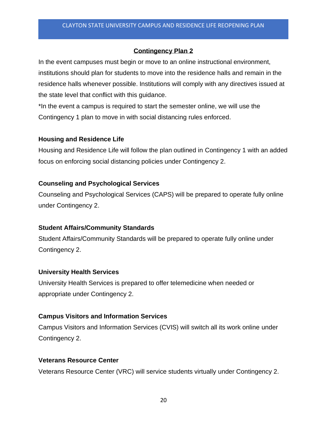## **Contingency Plan 2**

In the event campuses must begin or move to an online instructional environment, institutions should plan for students to move into the residence halls and remain in the residence halls whenever possible. Institutions will comply with any directives issued at the state level that conflict with this guidance.

\*In the event a campus is required to start the semester online, we will use the Contingency 1 plan to move in with social distancing rules enforced.

## **Housing and Residence Life**

Housing and Residence Life will follow the plan outlined in Contingency 1 with an added focus on enforcing social distancing policies under Contingency 2.

## **Counseling and Psychological Services**

Counseling and Psychological Services (CAPS) will be prepared to operate fully online under Contingency 2.

## **Student Affairs/Community Standards**

Student Affairs/Community Standards will be prepared to operate fully online under Contingency 2.

## **University Health Services**

University Health Services is prepared to offer telemedicine when needed or appropriate under Contingency 2.

## **Campus Visitors and Information Services**

Campus Visitors and Information Services (CVIS) will switch all its work online under Contingency 2.

## **Veterans Resource Center**

Veterans Resource Center (VRC) will service students virtually under Contingency 2.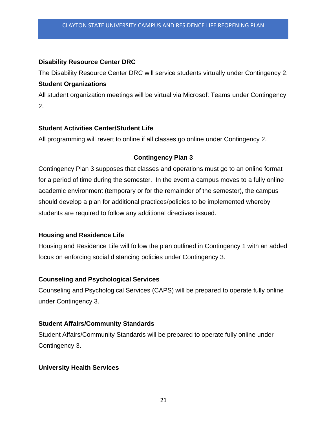## **Disability Resource Center DRC**

The Disability Resource Center DRC will service students virtually under Contingency 2. **Student Organizations**

All student organization meetings will be virtual via Microsoft Teams under Contingency 2.

## **Student Activities Center/Student Life**

All programming will revert to online if all classes go online under Contingency 2.

## **Contingency Plan 3**

Contingency Plan 3 supposes that classes and operations must go to an online format for a period of time during the semester. In the event a campus moves to a fully online academic environment (temporary or for the remainder of the semester), the campus should develop a plan for additional practices/policies to be implemented whereby students are required to follow any additional directives issued.

## **Housing and Residence Life**

Housing and Residence Life will follow the plan outlined in Contingency 1 with an added focus on enforcing social distancing policies under Contingency 3.

#### **Counseling and Psychological Services**

Counseling and Psychological Services (CAPS) will be prepared to operate fully online under Contingency 3.

## **Student Affairs/Community Standards**

Student Affairs/Community Standards will be prepared to operate fully online under Contingency 3.

#### **University Health Services**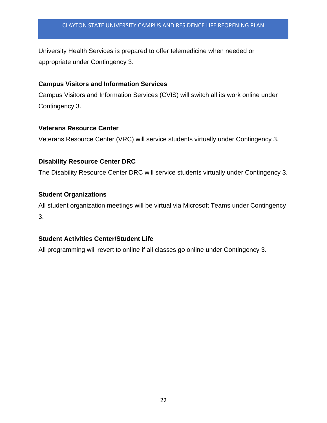University Health Services is prepared to offer telemedicine when needed or appropriate under Contingency 3.

#### **Campus Visitors and Information Services**

Campus Visitors and Information Services (CVIS) will switch all its work online under Contingency 3.

#### **Veterans Resource Center**

Veterans Resource Center (VRC) will service students virtually under Contingency 3.

#### **Disability Resource Center DRC**

The Disability Resource Center DRC will service students virtually under Contingency 3.

#### **Student Organizations**

All student organization meetings will be virtual via Microsoft Teams under Contingency 3.

## **Student Activities Center/Student Life**

All programming will revert to online if all classes go online under Contingency 3.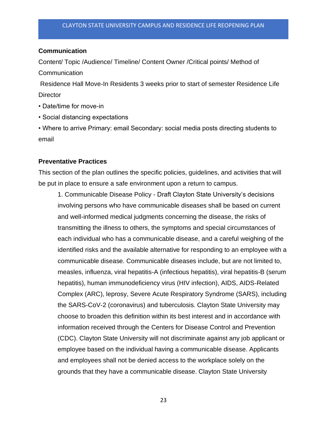#### **Communication**

Content/ Topic /Audience/ Timeline/ Content Owner /Critical points/ Method of Communication

Residence Hall Move-In Residents 3 weeks prior to start of semester Residence Life **Director** 

- Date/time for move-in
- Social distancing expectations
- Where to arrive Primary: email Secondary: social media posts directing students to email

#### **Preventative Practices**

This section of the plan outlines the specific policies, guidelines, and activities that will be put in place to ensure a safe environment upon a return to campus.

1. Communicable Disease Policy - Draft Clayton State University's decisions involving persons who have communicable diseases shall be based on current and well-informed medical judgments concerning the disease, the risks of transmitting the illness to others, the symptoms and special circumstances of each individual who has a communicable disease, and a careful weighing of the identified risks and the available alternative for responding to an employee with a communicable disease. Communicable diseases include, but are not limited to, measles, influenza, viral hepatitis-A (infectious hepatitis), viral hepatitis-B (serum hepatitis), human immunodeficiency virus (HIV infection), AIDS, AIDS-Related Complex (ARC), leprosy, Severe Acute Respiratory Syndrome (SARS), including the SARS-CoV-2 (coronavirus) and tuberculosis. Clayton State University may choose to broaden this definition within its best interest and in accordance with information received through the Centers for Disease Control and Prevention (CDC). Clayton State University will not discriminate against any job applicant or employee based on the individual having a communicable disease. Applicants and employees shall not be denied access to the workplace solely on the grounds that they have a communicable disease. Clayton State University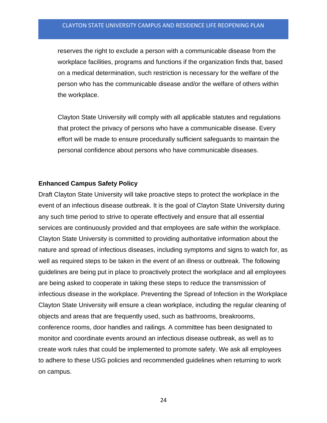reserves the right to exclude a person with a communicable disease from the workplace facilities, programs and functions if the organization finds that, based on a medical determination, such restriction is necessary for the welfare of the person who has the communicable disease and/or the welfare of others within the workplace.

Clayton State University will comply with all applicable statutes and regulations that protect the privacy of persons who have a communicable disease. Every effort will be made to ensure procedurally sufficient safeguards to maintain the personal confidence about persons who have communicable diseases.

#### **Enhanced Campus Safety Policy**

Draft Clayton State University will take proactive steps to protect the workplace in the event of an infectious disease outbreak. It is the goal of Clayton State University during any such time period to strive to operate effectively and ensure that all essential services are continuously provided and that employees are safe within the workplace. Clayton State University is committed to providing authoritative information about the nature and spread of infectious diseases, including symptoms and signs to watch for, as well as required steps to be taken in the event of an illness or outbreak. The following guidelines are being put in place to proactively protect the workplace and all employees are being asked to cooperate in taking these steps to reduce the transmission of infectious disease in the workplace. Preventing the Spread of Infection in the Workplace Clayton State University will ensure a clean workplace, including the regular cleaning of objects and areas that are frequently used, such as bathrooms, breakrooms, conference rooms, door handles and railings. A committee has been designated to monitor and coordinate events around an infectious disease outbreak, as well as to create work rules that could be implemented to promote safety. We ask all employees to adhere to these USG policies and recommended guidelines when returning to work on campus.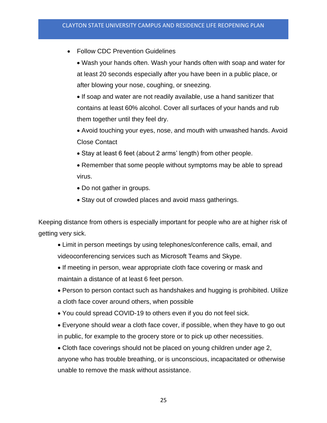- Follow CDC Prevention Guidelines
	- Wash your hands often. Wash your hands often with soap and water for at least 20 seconds especially after you have been in a public place, or after blowing your nose, coughing, or sneezing.
	- If soap and water are not readily available, use a hand sanitizer that contains at least 60% alcohol. Cover all surfaces of your hands and rub them together until they feel dry.
	- Avoid touching your eyes, nose, and mouth with unwashed hands. Avoid Close Contact
	- Stay at least 6 feet (about 2 arms' length) from other people.
	- Remember that some people without symptoms may be able to spread virus.
	- Do not gather in groups.
	- Stay out of crowded places and avoid mass gatherings.

Keeping distance from others is especially important for people who are at higher risk of getting very sick.

- Limit in person meetings by using telephones/conference calls, email, and videoconferencing services such as Microsoft Teams and Skype.
- If meeting in person, wear appropriate cloth face covering or mask and maintain a distance of at least 6 feet person.
- Person to person contact such as handshakes and hugging is prohibited. Utilize a cloth face cover around others, when possible
- You could spread COVID-19 to others even if you do not feel sick.
- Everyone should wear a cloth face cover, if possible, when they have to go out in public, for example to the grocery store or to pick up other necessities.

• Cloth face coverings should not be placed on young children under age 2, anyone who has trouble breathing, or is unconscious, incapacitated or otherwise unable to remove the mask without assistance.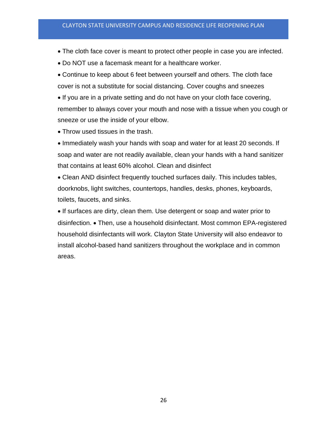- The cloth face cover is meant to protect other people in case you are infected.
- Do NOT use a facemask meant for a healthcare worker.
- Continue to keep about 6 feet between yourself and others. The cloth face cover is not a substitute for social distancing. Cover coughs and sneezes

• If you are in a private setting and do not have on your cloth face covering, remember to always cover your mouth and nose with a tissue when you cough or sneeze or use the inside of your elbow.

• Throw used tissues in the trash.

• Immediately wash your hands with soap and water for at least 20 seconds. If soap and water are not readily available, clean your hands with a hand sanitizer that contains at least 60% alcohol. Clean and disinfect

• Clean AND disinfect frequently touched surfaces daily. This includes tables, doorknobs, light switches, countertops, handles, desks, phones, keyboards, toilets, faucets, and sinks.

• If surfaces are dirty, clean them. Use detergent or soap and water prior to disinfection. • Then, use a household disinfectant. Most common EPA-registered household disinfectants will work. Clayton State University will also endeavor to install alcohol-based hand sanitizers throughout the workplace and in common areas.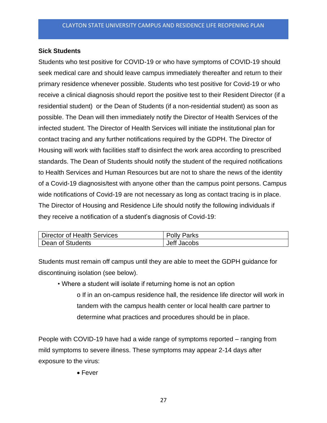#### **Sick Students**

Students who test positive for COVID-19 or who have symptoms of COVID-19 should seek medical care and should leave campus immediately thereafter and return to their primary residence whenever possible. Students who test positive for Covid-19 or who receive a clinical diagnosis should report the positive test to their Resident Director (if a residential student) or the Dean of Students (if a non-residential student) as soon as possible. The Dean will then immediately notify the Director of Health Services of the infected student. The Director of Health Services will initiate the institutional plan for contact tracing and any further notifications required by the GDPH. The Director of Housing will work with facilities staff to disinfect the work area according to prescribed standards. The Dean of Students should notify the student of the required notifications to Health Services and Human Resources but are not to share the news of the identity of a Covid-19 diagnosis/test with anyone other than the campus point persons. Campus wide notifications of Covid-19 are not necessary as long as contact tracing is in place. The Director of Housing and Residence Life should notify the following individuals if they receive a notification of a student's diagnosis of Covid-19:

| Director of Health Services | <b>Polly Parks</b> |
|-----------------------------|--------------------|
| Dean of Students            | Jeff Jacobs        |

Students must remain off campus until they are able to meet the GDPH guidance for discontinuing isolation (see below).

• Where a student will isolate if returning home is not an option o If in an on-campus residence hall, the residence life director will work in tandem with the campus health center or local health care partner to determine what practices and procedures should be in place.

People with COVID-19 have had a wide range of symptoms reported – ranging from mild symptoms to severe illness. These symptoms may appear 2-14 days after exposure to the virus:

• Fever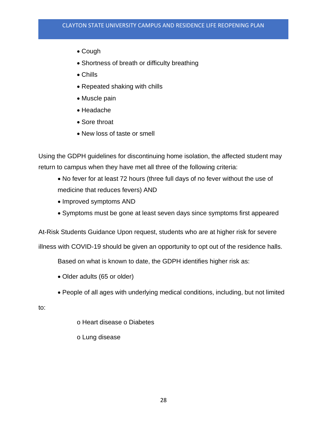- Cough
- Shortness of breath or difficulty breathing
- Chills
- Repeated shaking with chills
- Muscle pain
- Headache
- Sore throat
- New loss of taste or smell

Using the GDPH guidelines for discontinuing home isolation, the affected student may return to campus when they have met all three of the following criteria:

- No fever for at least 72 hours (three full days of no fever without the use of medicine that reduces fevers) AND
- Improved symptoms AND
- Symptoms must be gone at least seven days since symptoms first appeared

At-Risk Students Guidance Upon request, students who are at higher risk for severe

illness with COVID-19 should be given an opportunity to opt out of the residence halls.

Based on what is known to date, the GDPH identifies higher risk as:

- Older adults (65 or older)
- People of all ages with underlying medical conditions, including, but not limited

to:

- o Heart disease o Diabetes
- o Lung disease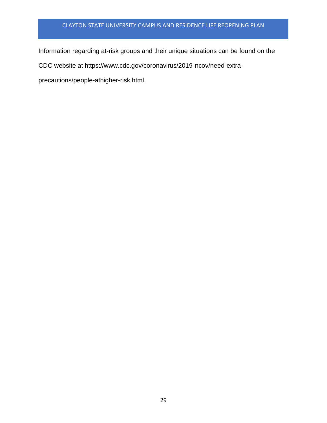Information regarding at-risk groups and their unique situations can be found on the

CDC website at https://www.cdc.gov/coronavirus/2019-ncov/need-extra-

precautions/people-athigher-risk.html.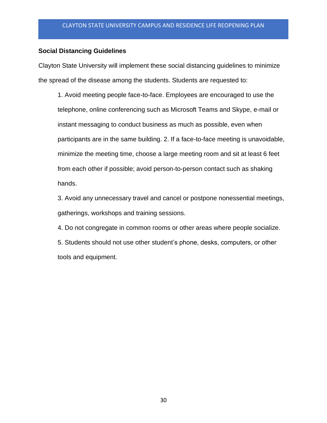#### **Social Distancing Guidelines**

Clayton State University will implement these social distancing guidelines to minimize the spread of the disease among the students. Students are requested to:

1. Avoid meeting people face-to-face. Employees are encouraged to use the telephone, online conferencing such as Microsoft Teams and Skype, e-mail or instant messaging to conduct business as much as possible, even when participants are in the same building. 2. If a face-to-face meeting is unavoidable, minimize the meeting time, choose a large meeting room and sit at least 6 feet from each other if possible; avoid person-to-person contact such as shaking hands.

3. Avoid any unnecessary travel and cancel or postpone nonessential meetings, gatherings, workshops and training sessions.

4. Do not congregate in common rooms or other areas where people socialize.

5. Students should not use other student's phone, desks, computers, or other tools and equipment.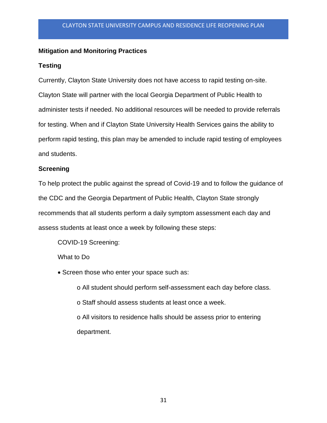## **Mitigation and Monitoring Practices**

#### **Testing**

Currently, Clayton State University does not have access to rapid testing on-site. Clayton State will partner with the local Georgia Department of Public Health to administer tests if needed. No additional resources will be needed to provide referrals for testing. When and if Clayton State University Health Services gains the ability to perform rapid testing, this plan may be amended to include rapid testing of employees and students.

#### **Screening**

To help protect the public against the spread of Covid-19 and to follow the guidance of the CDC and the Georgia Department of Public Health, Clayton State strongly recommends that all students perform a daily symptom assessment each day and assess students at least once a week by following these steps:

COVID-19 Screening:

What to Do

• Screen those who enter your space such as:

o All student should perform self-assessment each day before class. o Staff should assess students at least once a week. o All visitors to residence halls should be assess prior to entering department.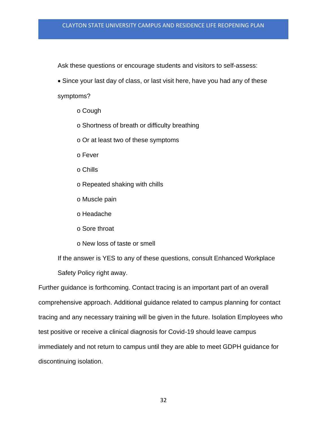Ask these questions or encourage students and visitors to self-assess:

• Since your last day of class, or last visit here, have you had any of these

symptoms?

- o Cough
- o Shortness of breath or difficulty breathing
- o Or at least two of these symptoms
- o Fever
- o Chills
- o Repeated shaking with chills
- o Muscle pain
- o Headache
- o Sore throat
- o New loss of taste or smell

If the answer is YES to any of these questions, consult Enhanced Workplace Safety Policy right away.

Further guidance is forthcoming. Contact tracing is an important part of an overall comprehensive approach. Additional guidance related to campus planning for contact tracing and any necessary training will be given in the future. Isolation Employees who test positive or receive a clinical diagnosis for Covid-19 should leave campus immediately and not return to campus until they are able to meet GDPH guidance for discontinuing isolation.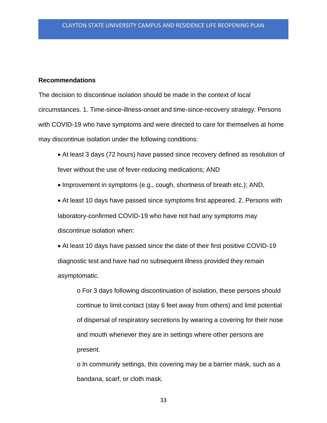#### **Recommendations**

The decision to discontinue isolation should be made in the context of local circumstances. 1. Time-since-illness-onset and time-since-recovery strategy: Persons with COVID-19 who have symptoms and were directed to care for themselves at home may discontinue isolation under the following conditions:

• At least 3 days (72 hours) have passed since recovery defined as resolution of fever without the use of fever-reducing medications; AND

• Improvement in symptoms (e.g., cough, shortness of breath etc.); AND,

• At least 10 days have passed since symptoms first appeared. 2. Persons with laboratory-confirmed COVID-19 who have not had any symptoms may discontinue isolation when:

• At least 10 days have passed since the date of their first positive COVID-19 diagnostic test and have had no subsequent illness provided they remain asymptomatic.

o For 3 days following discontinuation of isolation, these persons should continue to limit contact (stay 6 feet away from others) and limit potential of dispersal of respiratory secretions by wearing a covering for their nose and mouth whenever they are in settings where other persons are present.

o In community settings, this covering may be a barrier mask, such as a bandana, scarf, or cloth mask.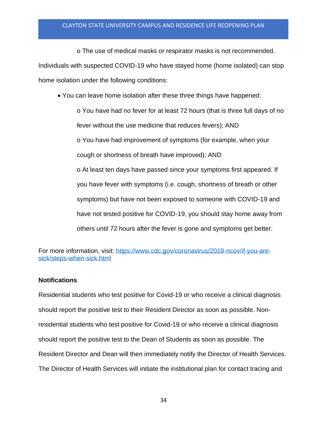o The use of medical masks or respirator masks is not recommended.

Individuals with suspected COVID-19 who have stayed home (home isolated) can stop home isolation under the following conditions:

• You can leave home isolation after these three things have happened:

o You have had no fever for at least 72 hours (that is three full days of no fever without the use medicine that reduces fevers); AND o You have had improvement of symptoms (for example, when your cough or shortness of breath have improved); AND

o At least ten days have passed since your symptoms first appeared. If you have fever with symptoms (i.e. cough, shortness of breath or other symptoms) but have not been exposed to someone with COVID-19 and have not tested positive for COVID-19, you should stay home away from others until 72 hours after the fever is gone and symptoms get better.

For more information, visit: [https://www.cdc.gov/coronavirus/2019-ncov/if-you-are](about:blank)[sick/steps-when-sick.html](about:blank)

## **Notifications**

Residential students who test positive for Covid-19 or who receive a clinical diagnosis should report the positive test to their Resident Director as soon as possible. Nonresidential students who test positive for Covid-19 or who receive a clinical diagnosis should report the positive test to the Dean of Students as soon as possible. The Resident Director and Dean will then immediately notify the Director of Health Services. The Director of Health Services will initiate the institutional plan for contact tracing and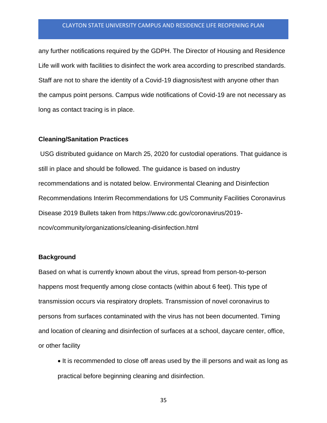any further notifications required by the GDPH. The Director of Housing and Residence Life will work with facilities to disinfect the work area according to prescribed standards. Staff are not to share the identity of a Covid-19 diagnosis/test with anyone other than the campus point persons. Campus wide notifications of Covid-19 are not necessary as long as contact tracing is in place.

#### **Cleaning/Sanitation Practices**

USG distributed guidance on March 25, 2020 for custodial operations. That guidance is still in place and should be followed. The guidance is based on industry recommendations and is notated below. Environmental Cleaning and Disinfection Recommendations Interim Recommendations for US Community Facilities Coronavirus Disease 2019 Bullets taken from https://www.cdc.gov/coronavirus/2019 ncov/community/organizations/cleaning-disinfection.html

#### **Background**

Based on what is currently known about the virus, spread from person-to-person happens most frequently among close contacts (within about 6 feet). This type of transmission occurs via respiratory droplets. Transmission of novel coronavirus to persons from surfaces contaminated with the virus has not been documented. Timing and location of cleaning and disinfection of surfaces at a school, daycare center, office, or other facility

• It is recommended to close off areas used by the ill persons and wait as long as practical before beginning cleaning and disinfection.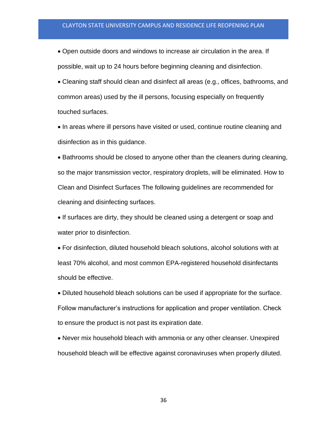• Open outside doors and windows to increase air circulation in the area. If possible, wait up to 24 hours before beginning cleaning and disinfection.

• Cleaning staff should clean and disinfect all areas (e.g., offices, bathrooms, and common areas) used by the ill persons, focusing especially on frequently touched surfaces.

• In areas where ill persons have visited or used, continue routine cleaning and disinfection as in this guidance.

• Bathrooms should be closed to anyone other than the cleaners during cleaning, so the major transmission vector, respiratory droplets, will be eliminated. How to Clean and Disinfect Surfaces The following guidelines are recommended for cleaning and disinfecting surfaces.

• If surfaces are dirty, they should be cleaned using a detergent or soap and water prior to disinfection.

• For disinfection, diluted household bleach solutions, alcohol solutions with at least 70% alcohol, and most common EPA-registered household disinfectants should be effective.

• Diluted household bleach solutions can be used if appropriate for the surface. Follow manufacturer's instructions for application and proper ventilation. Check to ensure the product is not past its expiration date.

• Never mix household bleach with ammonia or any other cleanser. Unexpired household bleach will be effective against coronaviruses when properly diluted.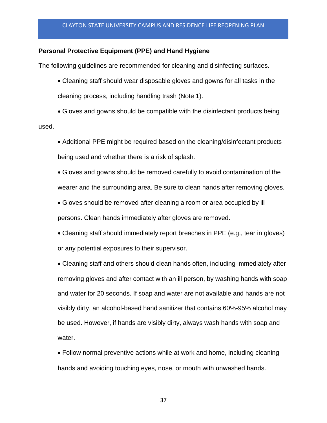## **Personal Protective Equipment (PPE) and Hand Hygiene**

The following guidelines are recommended for cleaning and disinfecting surfaces.

• Cleaning staff should wear disposable gloves and gowns for all tasks in the cleaning process, including handling trash (Note 1).

• Gloves and gowns should be compatible with the disinfectant products being

used.

• Additional PPE might be required based on the cleaning/disinfectant products being used and whether there is a risk of splash.

• Gloves and gowns should be removed carefully to avoid contamination of the wearer and the surrounding area. Be sure to clean hands after removing gloves.

• Gloves should be removed after cleaning a room or area occupied by ill persons. Clean hands immediately after gloves are removed.

• Cleaning staff should immediately report breaches in PPE (e.g., tear in gloves) or any potential exposures to their supervisor.

• Cleaning staff and others should clean hands often, including immediately after removing gloves and after contact with an ill person, by washing hands with soap and water for 20 seconds. If soap and water are not available and hands are not visibly dirty, an alcohol-based hand sanitizer that contains 60%-95% alcohol may be used. However, if hands are visibly dirty, always wash hands with soap and water.

• Follow normal preventive actions while at work and home, including cleaning hands and avoiding touching eyes, nose, or mouth with unwashed hands.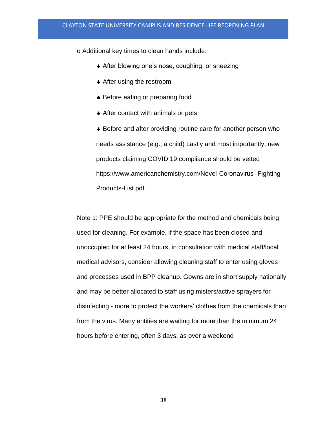o Additional key times to clean hands include:

- **After blowing one's nose, coughing, or sneezing**
- \* After using the restroom
- \* Before eating or preparing food
- After contact with animals or pets

\* Before and after providing routine care for another person who needs assistance (e.g., a child) Lastly and most importantly, new products claiming COVID 19 compliance should be vetted https://www.americanchemistry.com/Novel-Coronavirus- Fighting-Products-List.pdf

Note 1: PPE should be appropriate for the method and chemicals being used for cleaning. For example, if the space has been closed and unoccupied for at least 24 hours, in consultation with medical staff/local medical advisors, consider allowing cleaning staff to enter using gloves and processes used in BPP cleanup. Gowns are in short supply nationally and may be better allocated to staff using misters/active sprayers for disinfecting - more to protect the workers' clothes from the chemicals than from the virus. Many entities are waiting for more than the minimum 24 hours before entering, often 3 days, as over a weekend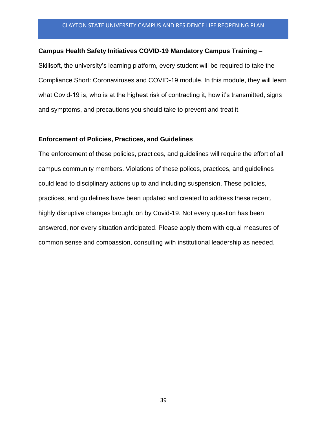#### **Campus Health Safety Initiatives COVID-19 Mandatory Campus Training** –

Skillsoft, the university's learning platform, every student will be required to take the Compliance Short: Coronaviruses and COVID-19 module. In this module, they will learn what Covid-19 is, who is at the highest risk of contracting it, how it's transmitted, signs and symptoms, and precautions you should take to prevent and treat it.

## **Enforcement of Policies, Practices, and Guidelines**

The enforcement of these policies, practices, and guidelines will require the effort of all campus community members. Violations of these polices, practices, and guidelines could lead to disciplinary actions up to and including suspension. These policies, practices, and guidelines have been updated and created to address these recent, highly disruptive changes brought on by Covid-19. Not every question has been answered, nor every situation anticipated. Please apply them with equal measures of common sense and compassion, consulting with institutional leadership as needed.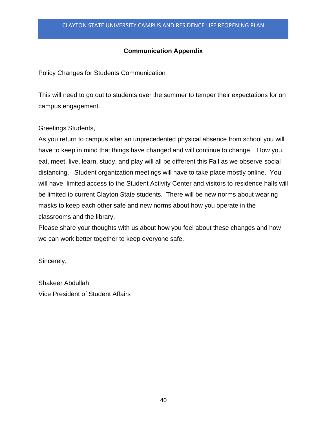## **Communication Appendix**

Policy Changes for Students Communication

This will need to go out to students over the summer to temper their expectations for on campus engagement.

Greetings Students,

As you return to campus after an unprecedented physical absence from school you will have to keep in mind that things have changed and will continue to change. How you, eat, meet, live, learn, study, and play will all be different this Fall as we observe social distancing. Student organization meetings will have to take place mostly online. You will have limited access to the Student Activity Center and visitors to residence halls will be limited to current Clayton State students. There will be new norms about wearing masks to keep each other safe and new norms about how you operate in the classrooms and the library.

Please share your thoughts with us about how you feel about these changes and how we can work better together to keep everyone safe.

Sincerely,

Shakeer Abdullah Vice President of Student Affairs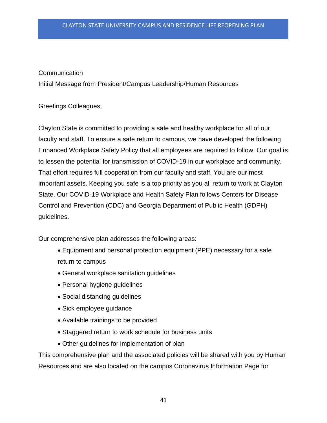## Communication

Initial Message from President/Campus Leadership/Human Resources

Greetings Colleagues,

Clayton State is committed to providing a safe and healthy workplace for all of our faculty and staff. To ensure a safe return to campus, we have developed the following Enhanced Workplace Safety Policy that all employees are required to follow. Our goal is to lessen the potential for transmission of COVID-19 in our workplace and community. That effort requires full cooperation from our faculty and staff. You are our most important assets. Keeping you safe is a top priority as you all return to work at Clayton State. Our COVID-19 Workplace and Health Safety Plan follows Centers for Disease Control and Prevention (CDC) and Georgia Department of Public Health (GDPH) guidelines.

Our comprehensive plan addresses the following areas:

- Equipment and personal protection equipment (PPE) necessary for a safe return to campus
- General workplace sanitation guidelines
- Personal hygiene guidelines
- Social distancing guidelines
- Sick employee guidance
- Available trainings to be provided
- Staggered return to work schedule for business units
- Other guidelines for implementation of plan

This comprehensive plan and the associated policies will be shared with you by Human Resources and are also located on the campus Coronavirus Information Page for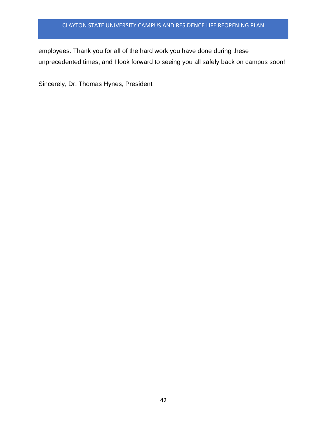employees. Thank you for all of the hard work you have done during these unprecedented times, and I look forward to seeing you all safely back on campus soon!

Sincerely, Dr. Thomas Hynes, President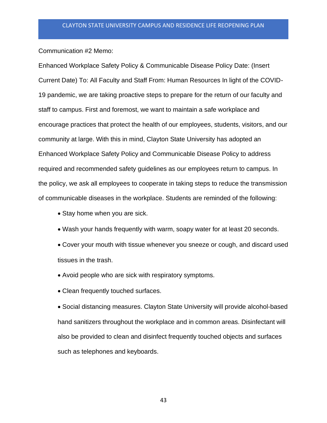Communication #2 Memo:

Enhanced Workplace Safety Policy & Communicable Disease Policy Date: (Insert Current Date) To: All Faculty and Staff From: Human Resources In light of the COVID-19 pandemic, we are taking proactive steps to prepare for the return of our faculty and staff to campus. First and foremost, we want to maintain a safe workplace and encourage practices that protect the health of our employees, students, visitors, and our community at large. With this in mind, Clayton State University has adopted an Enhanced Workplace Safety Policy and Communicable Disease Policy to address required and recommended safety guidelines as our employees return to campus. In the policy, we ask all employees to cooperate in taking steps to reduce the transmission of communicable diseases in the workplace. Students are reminded of the following:

- Stay home when you are sick.
- Wash your hands frequently with warm, soapy water for at least 20 seconds.
- Cover your mouth with tissue whenever you sneeze or cough, and discard used tissues in the trash.
- Avoid people who are sick with respiratory symptoms.
- Clean frequently touched surfaces.

• Social distancing measures. Clayton State University will provide alcohol-based hand sanitizers throughout the workplace and in common areas. Disinfectant will also be provided to clean and disinfect frequently touched objects and surfaces such as telephones and keyboards.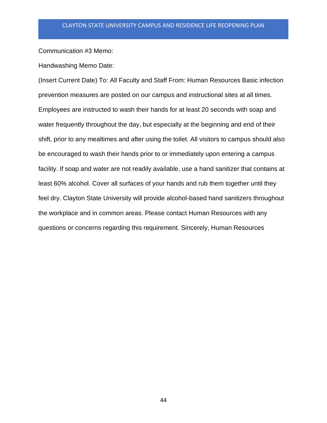Communication #3 Memo:

Handwashing Memo Date:

(Insert Current Date) To: All Faculty and Staff From: Human Resources Basic infection prevention measures are posted on our campus and instructional sites at all times. Employees are instructed to wash their hands for at least 20 seconds with soap and water frequently throughout the day, but especially at the beginning and end of their shift, prior to any mealtimes and after using the toilet. All visitors to campus should also be encouraged to wash their hands prior to or immediately upon entering a campus facility. If soap and water are not readily available, use a hand sanitizer that contains at least 60% alcohol. Cover all surfaces of your hands and rub them together until they feel dry. Clayton State University will provide alcohol-based hand sanitizers throughout the workplace and in common areas. Please contact Human Resources with any questions or concerns regarding this requirement. Sincerely, Human Resources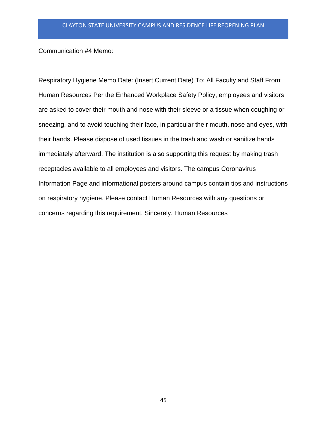Communication #4 Memo:

Respiratory Hygiene Memo Date: (Insert Current Date) To: All Faculty and Staff From: Human Resources Per the Enhanced Workplace Safety Policy, employees and visitors are asked to cover their mouth and nose with their sleeve or a tissue when coughing or sneezing, and to avoid touching their face, in particular their mouth, nose and eyes, with their hands. Please dispose of used tissues in the trash and wash or sanitize hands immediately afterward. The institution is also supporting this request by making trash receptacles available to all employees and visitors. The campus Coronavirus Information Page and informational posters around campus contain tips and instructions on respiratory hygiene. Please contact Human Resources with any questions or concerns regarding this requirement. Sincerely, Human Resources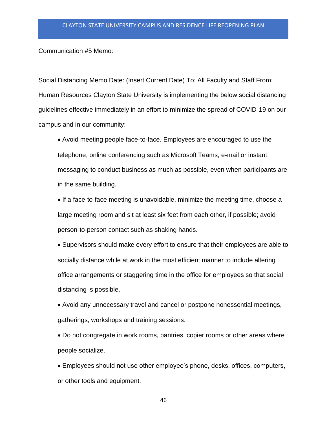Communication #5 Memo:

Social Distancing Memo Date: (Insert Current Date) To: All Faculty and Staff From: Human Resources Clayton State University is implementing the below social distancing guidelines effective immediately in an effort to minimize the spread of COVID-19 on our campus and in our community:

• Avoid meeting people face-to-face. Employees are encouraged to use the telephone, online conferencing such as Microsoft Teams, e-mail or instant messaging to conduct business as much as possible, even when participants are in the same building.

• If a face-to-face meeting is unavoidable, minimize the meeting time, choose a large meeting room and sit at least six feet from each other, if possible; avoid person-to-person contact such as shaking hands.

• Supervisors should make every effort to ensure that their employees are able to socially distance while at work in the most efficient manner to include altering office arrangements or staggering time in the office for employees so that social distancing is possible.

• Avoid any unnecessary travel and cancel or postpone nonessential meetings, gatherings, workshops and training sessions.

• Do not congregate in work rooms, pantries, copier rooms or other areas where people socialize.

• Employees should not use other employee's phone, desks, offices, computers, or other tools and equipment.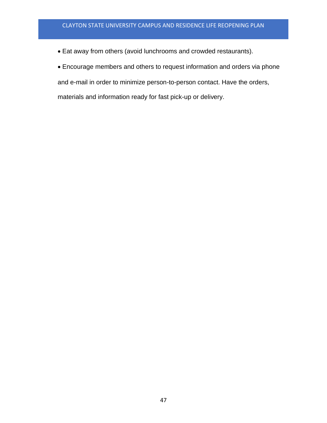- Eat away from others (avoid lunchrooms and crowded restaurants).
- Encourage members and others to request information and orders via phone

and e-mail in order to minimize person-to-person contact. Have the orders,

materials and information ready for fast pick-up or delivery.